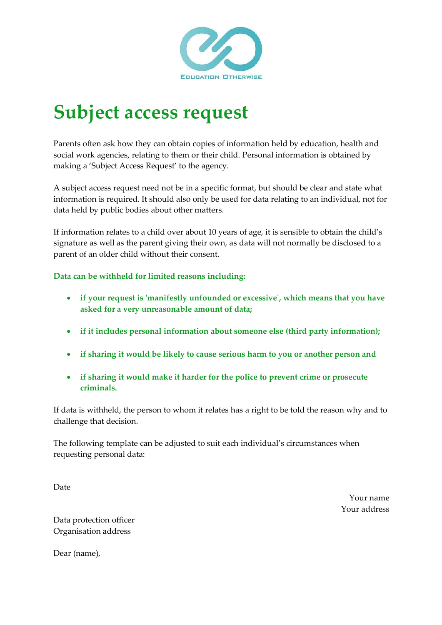

## **Subject access request**

Parents often ask how they can obtain copies of information held by education, health and social work agencies, relating to them or their child. Personal information is obtained by making a 'Subject Access Request' to the agency.

A subject access request need not be in a specific format, but should be clear and state what information is required. It should also only be used for data relating to an individual, not for data held by public bodies about other matters.

If information relates to a child over about 10 years of age, it is sensible to obtain the child's signature as well as the parent giving their own, as data will not normally be disclosed to a parent of an older child without their consent.

## **Data can be withheld for limited reasons including:**

- **if your request is 'manifestly unfounded or excessive', which means that you have asked for a very unreasonable amount of data;**
- **if it includes personal information about someone else (third party information);**
- **if sharing it would be likely to cause serious harm to you or another person and**
- **if sharing it would make it harder for the police to prevent crime or prosecute criminals.**

If data is withheld, the person to whom it relates has a right to be told the reason why and to challenge that decision.

The following template can be adjusted to suit each individual's circumstances when requesting personal data:

Date

Your name Your address

Data protection officer Organisation address

Dear (name),